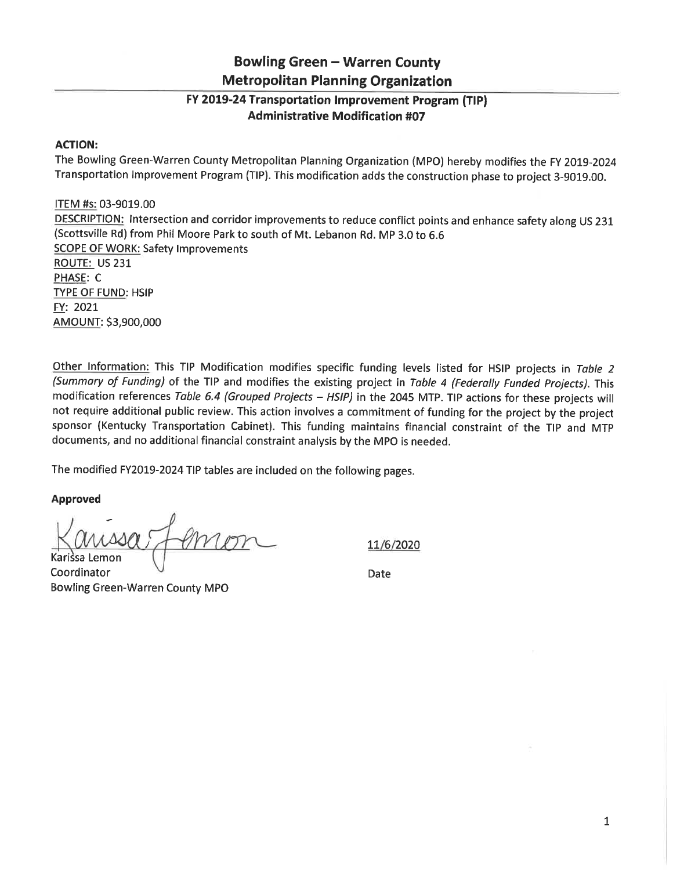## **Bowling Green - Warren County Metropolitan Planning Organization**

## FY 2019-24 Transportation Improvement Program (TIP) **Administrative Modification #07**

## **ACTION:**

The Bowling Green-Warren County Metropolitan Planning Organization (MPO) hereby modifies the FY 2019-2024 Transportation Improvement Program (TIP). This modification adds the construction phase to project 3-9019.00.

ITEM #s: 03-9019.00 DESCRIPTION: Intersection and corridor improvements to reduce conflict points and enhance safety along US 231 (Scottsville Rd) from Phil Moore Park to south of Mt. Lebanon Rd. MP 3.0 to 6.6 **SCOPE OF WORK: Safety Improvements** ROUTE: US 231 PHASE: C **TYPE OF FUND: HSIP** FY: 2021 AMOUNT: \$3,900,000

Other Information: This TIP Modification modifies specific funding levels listed for HSIP projects in Table 2 (Summary of Funding) of the TIP and modifies the existing project in Table 4 (Federally Funded Projects). This modification references Table 6.4 (Grouped Projects - HSIP) in the 2045 MTP. TIP actions for these projects will not require additional public review. This action involves a commitment of funding for the project by the project sponsor (Kentucky Transportation Cabinet). This funding maintains financial constraint of the TIP and MTP documents, and no additional financial constraint analysis by the MPO is needed.

The modified FY2019-2024 TIP tables are included on the following pages.

**Approved** 

11/6/2020

Karissa Lemon Coordinator **Bowling Green-Warren County MPO** 

Date